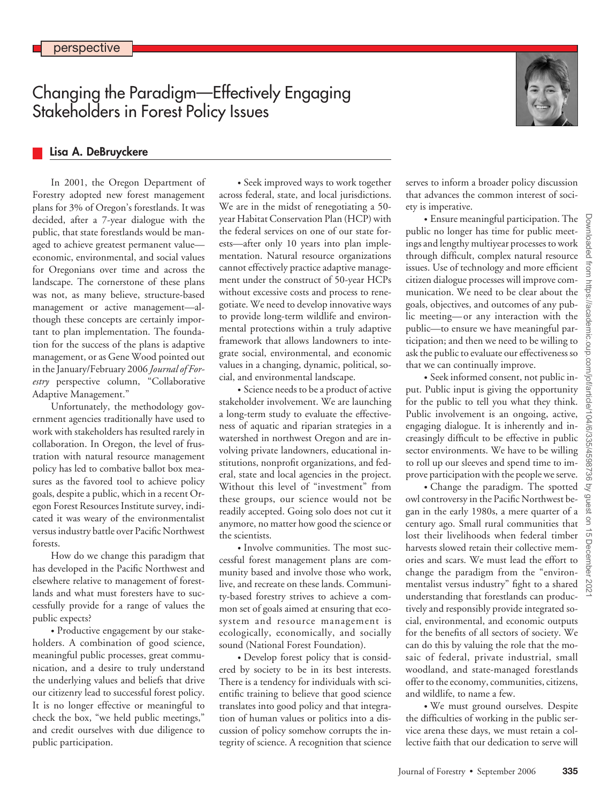# Changing the Paradigm—Effectively Engaging Stakeholders in Forest Policy Issues



## **Lisa A. DeBruyckere**

In 2001, the Oregon Department of Forestry adopted new forest management plans for 3% of Oregon's forestlands. It was decided, after a 7-year dialogue with the public, that state forestlands would be managed to achieve greatest permanent value economic, environmental, and social values for Oregonians over time and across the landscape. The cornerstone of these plans was not, as many believe, structure-based management or active management—although these concepts are certainly important to plan implementation. The foundation for the success of the plans is adaptive management, or as Gene Wood pointed out in the January/February 2006 *Journal of Forestry* perspective column, "Collaborative Adaptive Management."

Unfortunately, the methodology government agencies traditionally have used to work with stakeholders has resulted rarely in collaboration. In Oregon, the level of frustration with natural resource management policy has led to combative ballot box measures as the favored tool to achieve policy goals, despite a public, which in a recent Oregon Forest Resources Institute survey, indicated it was weary of the environmentalist versus industry battle over Pacific Northwest forests.

How do we change this paradigm that has developed in the Pacific Northwest and elsewhere relative to management of forestlands and what must foresters have to successfully provide for a range of values the public expects?

• Productive engagement by our stakeholders. A combination of good science, meaningful public processes, great communication, and a desire to truly understand the underlying values and beliefs that drive our citizenry lead to successful forest policy. It is no longer effective or meaningful to check the box, "we held public meetings," and credit ourselves with due diligence to public participation.

• Seek improved ways to work together across federal, state, and local jurisdictions. We are in the midst of renegotiating a 50 year Habitat Conservation Plan (HCP) with the federal services on one of our state forests—after only 10 years into plan implementation. Natural resource organizations cannot effectively practice adaptive management under the construct of 50-year HCPs without excessive costs and process to renegotiate. We need to develop innovative ways to provide long-term wildlife and environmental protections within a truly adaptive framework that allows landowners to integrate social, environmental, and economic values in a changing, dynamic, political, social, and environmental landscape.

• Science needs to be a product of active stakeholder involvement. We are launching a long-term study to evaluate the effectiveness of aquatic and riparian strategies in a watershed in northwest Oregon and are involving private landowners, educational institutions, nonprofit organizations, and federal, state and local agencies in the project. Without this level of "investment" from these groups, our science would not be readily accepted. Going solo does not cut it anymore, no matter how good the science or the scientists.

• Involve communities. The most successful forest management plans are community based and involve those who work, live, and recreate on these lands. Community-based forestry strives to achieve a common set of goals aimed at ensuring that ecosystem and resource management is ecologically, economically, and socially sound (National Forest Foundation).

• Develop forest policy that is considered by society to be in its best interests. There is a tendency for individuals with scientific training to believe that good science translates into good policy and that integration of human values or politics into a discussion of policy somehow corrupts the integrity of science. A recognition that science

serves to inform a broader policy discussion that advances the common interest of society is imperative.

• Ensure meaningful participation. The public no longer has time for public meetings and lengthy multiyear processes to work through difficult, complex natural resource issues. Use of technology and more efficient citizen dialogue processes will improve communication. We need to be clear about the goals, objectives, and outcomes of any public meeting—or any interaction with the public—to ensure we have meaningful participation; and then we need to be willing to ask the public to evaluate our effectiveness so that we can continually improve.

• Seek informed consent, not public input. Public input is giving the opportunity for the public to tell you what they think. Public involvement is an ongoing, active, engaging dialogue. It is inherently and increasingly difficult to be effective in public sector environments. We have to be willing to roll up our sleeves and spend time to improve participation with the people we serve.

• Change the paradigm. The spotted owl controversy in the Pacific Northwest began in the early 1980s, a mere quarter of a century ago. Small rural communities that lost their livelihoods when federal timber harvests slowed retain their collective memories and scars. We must lead the effort to change the paradigm from the "environmentalist versus industry" fight to a shared understanding that forestlands can productively and responsibly provide integrated social, environmental, and economic outputs for the benefits of all sectors of society. We can do this by valuing the role that the mosaic of federal, private industrial, small woodland, and state-managed forestlands offer to the economy, communities, citizens, and wildlife, to name a few.

• We must ground ourselves. Despite the difficulties of working in the public service arena these days, we must retain a collective faith that our dedication to serve will